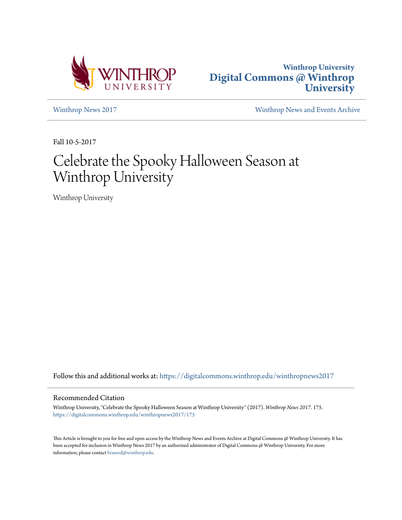



[Winthrop News 2017](https://digitalcommons.winthrop.edu/winthropnews2017?utm_source=digitalcommons.winthrop.edu%2Fwinthropnews2017%2F175&utm_medium=PDF&utm_campaign=PDFCoverPages) [Winthrop News and Events Archive](https://digitalcommons.winthrop.edu/winthropnewsarchives?utm_source=digitalcommons.winthrop.edu%2Fwinthropnews2017%2F175&utm_medium=PDF&utm_campaign=PDFCoverPages)

Fall 10-5-2017

# Celebrate the Spooky Halloween Season at Winthrop University

Winthrop University

Follow this and additional works at: [https://digitalcommons.winthrop.edu/winthropnews2017](https://digitalcommons.winthrop.edu/winthropnews2017?utm_source=digitalcommons.winthrop.edu%2Fwinthropnews2017%2F175&utm_medium=PDF&utm_campaign=PDFCoverPages)

# Recommended Citation

Winthrop University, "Celebrate the Spooky Halloween Season at Winthrop University" (2017). *Winthrop News 2017*. 175. [https://digitalcommons.winthrop.edu/winthropnews2017/175](https://digitalcommons.winthrop.edu/winthropnews2017/175?utm_source=digitalcommons.winthrop.edu%2Fwinthropnews2017%2F175&utm_medium=PDF&utm_campaign=PDFCoverPages)

This Article is brought to you for free and open access by the Winthrop News and Events Archive at Digital Commons @ Winthrop University. It has been accepted for inclusion in Winthrop News 2017 by an authorized administrator of Digital Commons @ Winthrop University. For more information, please contact [bramed@winthrop.edu](mailto:bramed@winthrop.edu).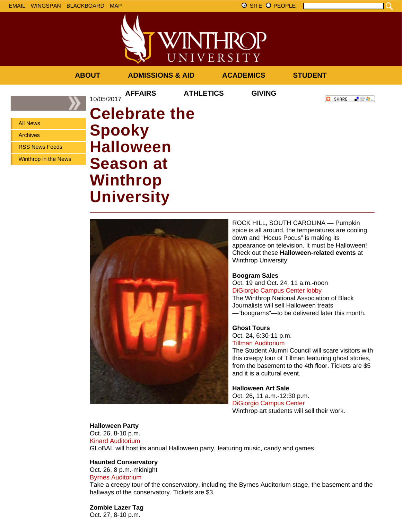

|                                                      | <b>ABOUT</b>  | <b>ADMISSIONS &amp; AID</b>  |                  | <b>ACADEMICS</b> | <b>STUDENT</b>     |
|------------------------------------------------------|---------------|------------------------------|------------------|------------------|--------------------|
|                                                      | 10/05/2017    | <b>AFFAIRS</b>               | <b>ATHLETICS</b> | <b>GIVING</b>    | 上没身。<br>о<br>SHARE |
| <b>All News</b>                                      |               | <b>Celebrate the</b>         |                  |                  |                    |
| <b>Archives</b>                                      | <b>Spooky</b> |                              |                  |                  |                    |
| <b>RSS News Feeds</b><br><b>Winthrop in the News</b> |               | <b>Halloween</b>             |                  |                  |                    |
|                                                      |               | <b>Season at</b><br>Winthrop |                  |                  |                    |



**University**

ROCK HILL, SOUTH CAROLINA — Pumpkin spice is all around, the temperatures are cooling down and "Hocus Pocus" is making its appearance on television. It must be Halloween! Check out these **Halloween-related events** at Winthrop University:

# **Boogram Sales**

Oct. 19 and Oct. 24, 11 a.m.-noon DiGiorgio Campus Center lobby The Winthrop National Association of Black Journalists will sell Halloween treats —"boograms"—to be delivered later this month.

# **Ghost Tours**

Oct. 24, 6:30-11 p.m. Tillman Auditorium

The Student Alumni Council will scare visitors with this creepy tour of Tillman featuring ghost stories, from the basement to the 4th floor. Tickets are \$5 and it is a cultural event.

**Halloween Art Sale** Oct. 26, 11 a.m.-12:30 p.m. DiGiorgio Campus Center Winthrop art students will sell their work.

**Halloween Party** Oct. 26, 8-10 p.m. Kinard Auditorium GLoBAL will host its annual Halloween party, featuring music, candy and games.

#### **Haunted Conservatory**

Oct. 26, 8 p.m.-midnight Byrnes Auditorium Take a creepy tour of the conservatory, including the Byrnes Auditorium stage, the basement and the hallways of the conservatory. Tickets are \$3.

**Zombie Lazer Tag** Oct. 27, 8-10 p.m.